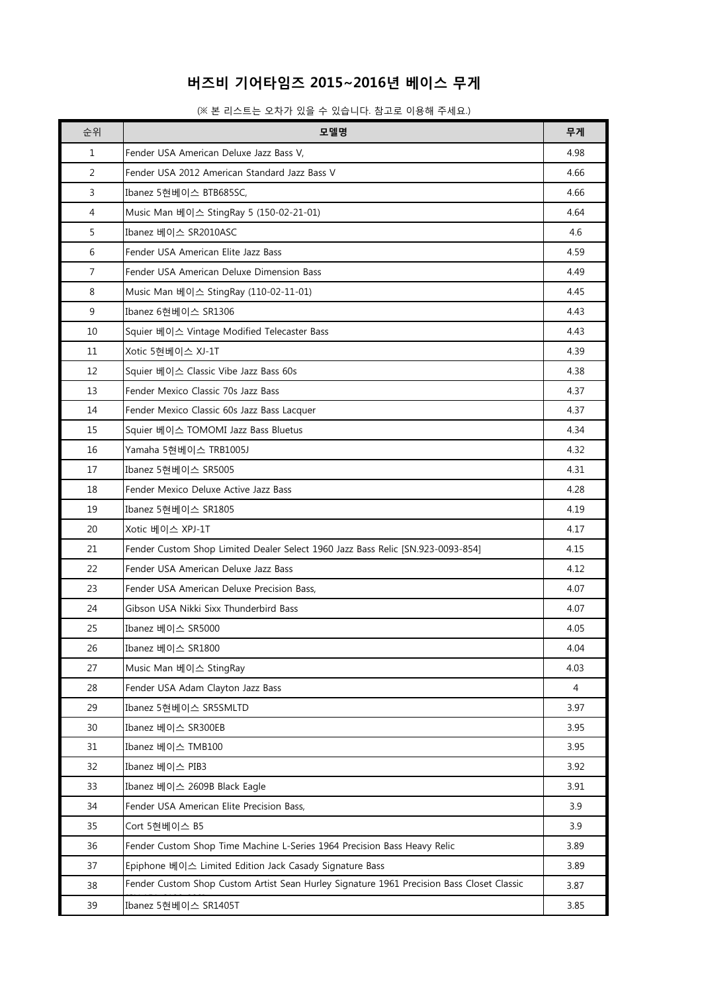## 버즈비 기어타임즈 2015~2016년 베이스 무게

(※ 본 리스트는 오차가 있을 수 있습니다. 참고로 이용해 주세요.)

| 순위           | 모델명                                                                                       | 무게   |
|--------------|-------------------------------------------------------------------------------------------|------|
| $\mathbf{1}$ | Fender USA American Deluxe Jazz Bass V,                                                   | 4.98 |
| 2            | Fender USA 2012 American Standard Jazz Bass V                                             | 4.66 |
| 3            | Ibanez 5현베이스 BTB685SC,                                                                    | 4.66 |
| 4            | Music Man 베이스 StingRay 5 (150-02-21-01)                                                   | 4.64 |
| 5            | Ibanez 베이스 SR2010ASC                                                                      | 4.6  |
| 6            | Fender USA American Elite Jazz Bass                                                       | 4.59 |
| 7            | Fender USA American Deluxe Dimension Bass                                                 | 4.49 |
| 8            | Music Man 베이스 StingRay (110-02-11-01)                                                     | 4.45 |
| 9            | Ibanez 6현베이스 SR1306                                                                       | 4.43 |
| 10           | Squier 베이스 Vintage Modified Telecaster Bass                                               | 4.43 |
| 11           | Xotic 5현베이스 XJ-1T                                                                         | 4.39 |
| 12           | Squier 베이스 Classic Vibe Jazz Bass 60s                                                     | 4.38 |
| 13           | Fender Mexico Classic 70s Jazz Bass                                                       | 4.37 |
| 14           | Fender Mexico Classic 60s Jazz Bass Lacquer                                               | 4.37 |
| 15           | Squier 베이스 TOMOMI Jazz Bass Bluetus                                                       | 4.34 |
| 16           | Yamaha 5현베이스 TRB1005J                                                                     | 4.32 |
| 17           | Ibanez 5현베이스 SR5005                                                                       | 4.31 |
| 18           | Fender Mexico Deluxe Active Jazz Bass                                                     | 4.28 |
| 19           | Ibanez 5현베이스 SR1805                                                                       | 4.19 |
| 20           | Xotic 베이스 XPJ-1T                                                                          | 4.17 |
| 21           | Fender Custom Shop Limited Dealer Select 1960 Jazz Bass Relic [SN.923-0093-854]           | 4.15 |
| 22           | Fender USA American Deluxe Jazz Bass                                                      | 4.12 |
| 23           | Fender USA American Deluxe Precision Bass,                                                | 4.07 |
| 24           | Gibson USA Nikki Sixx Thunderbird Bass                                                    | 4.07 |
| 25           | Ibanez 베이스 SR5000                                                                         | 4.05 |
| 26           | Ibanez 베이스 SR1800                                                                         | 4.04 |
| 27           | Music Man 베이스 StingRay                                                                    | 4.03 |
| 28           | Fender USA Adam Clayton Jazz Bass                                                         | 4    |
| 29           | Ibanez 5현베이스 SR5SMLTD                                                                     | 3.97 |
| $30\,$       | Ibanez 베이스 SR300EB                                                                        | 3.95 |
| 31           | Ibanez 베이스 TMB100                                                                         | 3.95 |
| 32           | Ibanez 베이스 PIB3                                                                           | 3.92 |
| 33           | Ibanez 베이스 2609B Black Eagle                                                              | 3.91 |
| 34           | Fender USA American Elite Precision Bass,                                                 | 3.9  |
| 35           | Cort 5현베이스 B5                                                                             | 3.9  |
| 36           | Fender Custom Shop Time Machine L-Series 1964 Precision Bass Heavy Relic                  | 3.89 |
| 37           | Epiphone 베이스 Limited Edition Jack Casady Signature Bass                                   | 3.89 |
| 38           | Fender Custom Shop Custom Artist Sean Hurley Signature 1961 Precision Bass Closet Classic | 3.87 |
| 39           | Ibanez 5현베이스 SR1405T                                                                      | 3.85 |